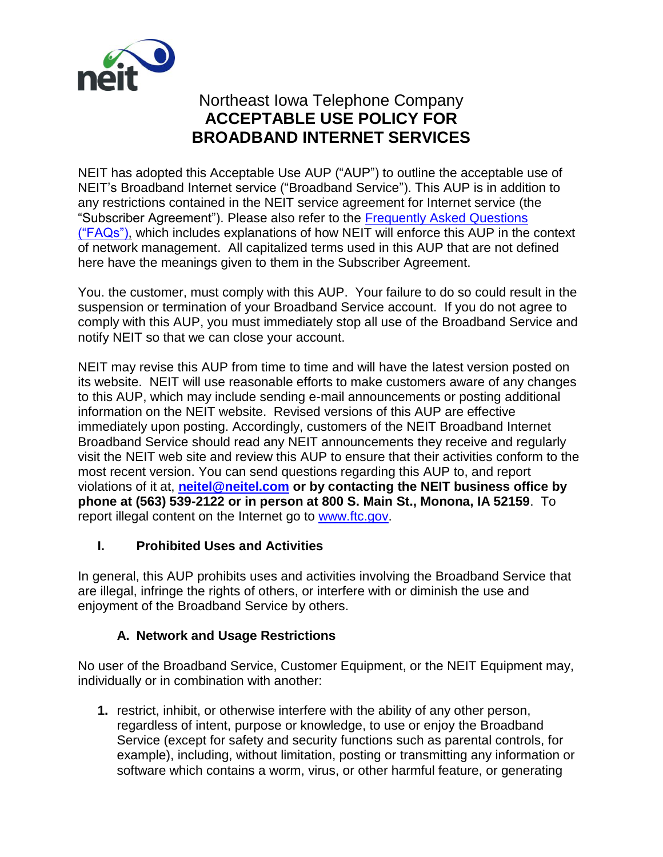

# Northeast Iowa Telephone Company **ACCEPTABLE USE POLICY FOR BROADBAND INTERNET SERVICES**

NEIT has adopted this Acceptable Use AUP ("AUP") to outline the acceptable use of NEIT's Broadband Internet service ("Broadband Service"). This AUP is in addition to any restrictions contained in the NEIT service agreement for Internet service (the "Subscriber Agreement"). Please also refer to the [Frequently Asked Questions](http://www.neitel.net/network/netfaqs.pdf)   $(FAQs")$ , which includes explanations of how NEIT will enforce this AUP in the context of network management. All capitalized terms used in this AUP that are not defined here have the meanings given to them in the Subscriber Agreement.

You. the customer, must comply with this AUP. Your failure to do so could result in the suspension or termination of your Broadband Service account. If you do not agree to comply with this AUP, you must immediately stop all use of the Broadband Service and notify NEIT so that we can close your account.

NEIT may revise this AUP from time to time and will have the latest version posted on its website. NEIT will use reasonable efforts to make customers aware of any changes to this AUP, which may include sending e-mail announcements or posting additional information on the NEIT website. Revised versions of this AUP are effective immediately upon posting. Accordingly, customers of the NEIT Broadband Internet Broadband Service should read any NEIT announcements they receive and regularly visit the NEIT web site and review this AUP to ensure that their activities conform to the most recent version. You can send questions regarding this AUP to, and report violations of it at, **[neitel@neitel.com](mailto:neitel@neitel.com) or by contacting the NEIT business office by phone at (563) 539-2122 or in person at 800 S. Main St., Monona, IA 52159**. To report illegal content on the Internet go to [www.ftc.gov.](http://www.ftc.gov/)

### **I. Prohibited Uses and Activities**

In general, this AUP prohibits uses and activities involving the Broadband Service that are illegal, infringe the rights of others, or interfere with or diminish the use and enjoyment of the Broadband Service by others.

### **A. Network and Usage Restrictions**

No user of the Broadband Service, Customer Equipment, or the NEIT Equipment may, individually or in combination with another:

**1.** restrict, inhibit, or otherwise interfere with the ability of any other person, regardless of intent, purpose or knowledge, to use or enjoy the Broadband Service (except for safety and security functions such as parental controls, for example), including, without limitation, posting or transmitting any information or software which contains a worm, virus, or other harmful feature, or generating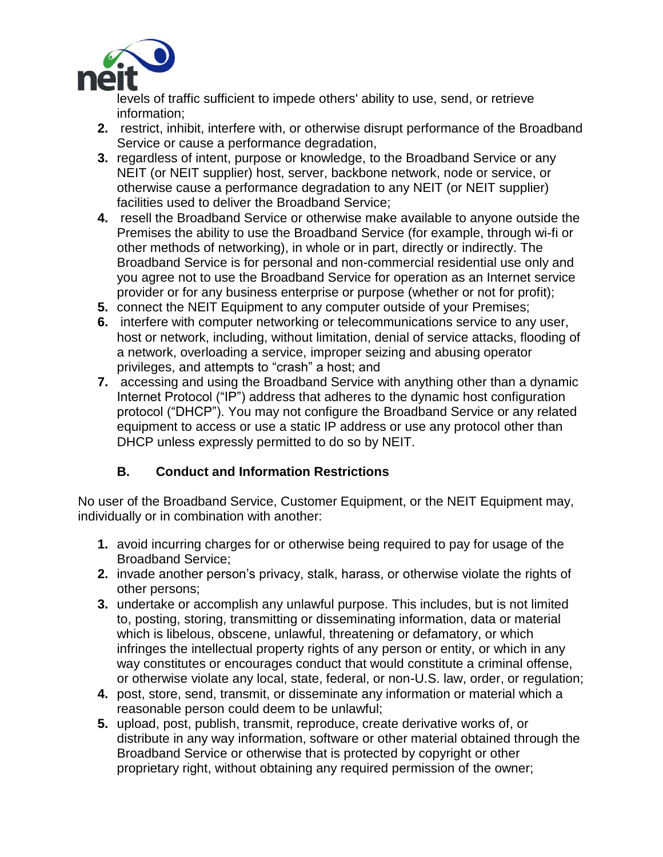

levels of traffic sufficient to impede others' ability to use, send, or retrieve information;

- **2.** restrict, inhibit, interfere with, or otherwise disrupt performance of the Broadband Service or cause a performance degradation,
- **3.** regardless of intent, purpose or knowledge, to the Broadband Service or any NEIT (or NEIT supplier) host, server, backbone network, node or service, or otherwise cause a performance degradation to any NEIT (or NEIT supplier) facilities used to deliver the Broadband Service;
- **4.** resell the Broadband Service or otherwise make available to anyone outside the Premises the ability to use the Broadband Service (for example, through wi-fi or other methods of networking), in whole or in part, directly or indirectly. The Broadband Service is for personal and non-commercial residential use only and you agree not to use the Broadband Service for operation as an Internet service provider or for any business enterprise or purpose (whether or not for profit);
- **5.** connect the NEIT Equipment to any computer outside of your Premises;
- **6.** interfere with computer networking or telecommunications service to any user, host or network, including, without limitation, denial of service attacks, flooding of a network, overloading a service, improper seizing and abusing operator privileges, and attempts to "crash" a host; and
- **7.** accessing and using the Broadband Service with anything other than a dynamic Internet Protocol ("IP") address that adheres to the dynamic host configuration protocol ("DHCP"). You may not configure the Broadband Service or any related equipment to access or use a static IP address or use any protocol other than DHCP unless expressly permitted to do so by NEIT.

## **B. Conduct and Information Restrictions**

No user of the Broadband Service, Customer Equipment, or the NEIT Equipment may, individually or in combination with another:

- **1.** avoid incurring charges for or otherwise being required to pay for usage of the Broadband Service;
- **2.** invade another person's privacy, stalk, harass, or otherwise violate the rights of other persons;
- **3.** undertake or accomplish any unlawful purpose. This includes, but is not limited to, posting, storing, transmitting or disseminating information, data or material which is libelous, obscene, unlawful, threatening or defamatory, or which infringes the intellectual property rights of any person or entity, or which in any way constitutes or encourages conduct that would constitute a criminal offense, or otherwise violate any local, state, federal, or non-U.S. law, order, or regulation;
- **4.** post, store, send, transmit, or disseminate any information or material which a reasonable person could deem to be unlawful;
- **5.** upload, post, publish, transmit, reproduce, create derivative works of, or distribute in any way information, software or other material obtained through the Broadband Service or otherwise that is protected by copyright or other proprietary right, without obtaining any required permission of the owner;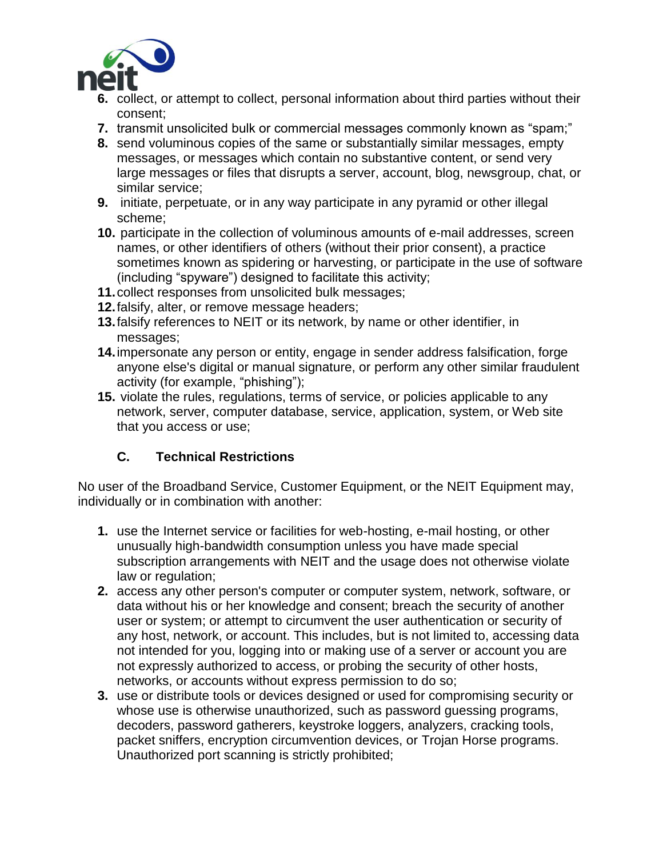

- **6.** collect, or attempt to collect, personal information about third parties without their consent;
- **7.** transmit unsolicited bulk or commercial messages commonly known as "spam;"
- **8.** send voluminous copies of the same or substantially similar messages, empty messages, or messages which contain no substantive content, or send very large messages or files that disrupts a server, account, blog, newsgroup, chat, or similar service;
- **9.** initiate, perpetuate, or in any way participate in any pyramid or other illegal scheme;
- **10.** participate in the collection of voluminous amounts of e-mail addresses, screen names, or other identifiers of others (without their prior consent), a practice sometimes known as spidering or harvesting, or participate in the use of software (including "spyware") designed to facilitate this activity;
- **11.**collect responses from unsolicited bulk messages;
- **12.**falsify, alter, or remove message headers;
- **13.**falsify references to NEIT or its network, by name or other identifier, in messages;
- **14.**impersonate any person or entity, engage in sender address falsification, forge anyone else's digital or manual signature, or perform any other similar fraudulent activity (for example, "phishing");
- **15.** violate the rules, regulations, terms of service, or policies applicable to any network, server, computer database, service, application, system, or Web site that you access or use;

### **C. Technical Restrictions**

No user of the Broadband Service, Customer Equipment, or the NEIT Equipment may, individually or in combination with another:

- **1.** use the Internet service or facilities for web-hosting, e-mail hosting, or other unusually high-bandwidth consumption unless you have made special subscription arrangements with NEIT and the usage does not otherwise violate law or regulation;
- **2.** access any other person's computer or computer system, network, software, or data without his or her knowledge and consent; breach the security of another user or system; or attempt to circumvent the user authentication or security of any host, network, or account. This includes, but is not limited to, accessing data not intended for you, logging into or making use of a server or account you are not expressly authorized to access, or probing the security of other hosts, networks, or accounts without express permission to do so;
- **3.** use or distribute tools or devices designed or used for compromising security or whose use is otherwise unauthorized, such as password guessing programs, decoders, password gatherers, keystroke loggers, analyzers, cracking tools, packet sniffers, encryption circumvention devices, or Trojan Horse programs. Unauthorized port scanning is strictly prohibited;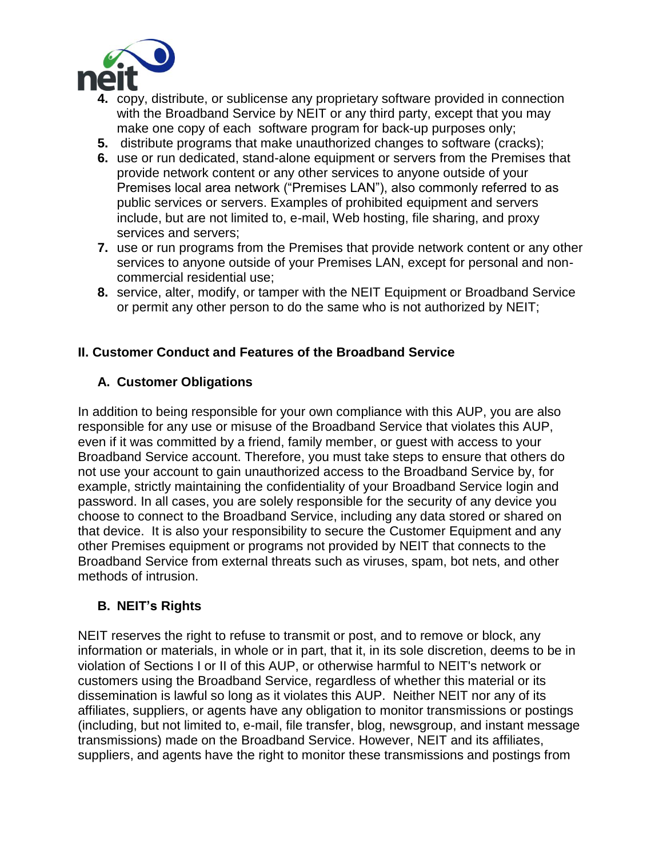

- **4.** copy, distribute, or sublicense any proprietary software provided in connection with the Broadband Service by NEIT or any third party, except that you may make one copy of each software program for back-up purposes only;
- **5.** distribute programs that make unauthorized changes to software (cracks);
- **6.** use or run dedicated, stand-alone equipment or servers from the Premises that provide network content or any other services to anyone outside of your Premises local area network ("Premises LAN"), also commonly referred to as public services or servers. Examples of prohibited equipment and servers include, but are not limited to, e-mail, Web hosting, file sharing, and proxy services and servers;
- **7.** use or run programs from the Premises that provide network content or any other services to anyone outside of your Premises LAN, except for personal and noncommercial residential use;
- **8.** service, alter, modify, or tamper with the NEIT Equipment or Broadband Service or permit any other person to do the same who is not authorized by NEIT;

### **II. Customer Conduct and Features of the Broadband Service**

#### **A. Customer Obligations**

In addition to being responsible for your own compliance with this AUP, you are also responsible for any use or misuse of the Broadband Service that violates this AUP, even if it was committed by a friend, family member, or guest with access to your Broadband Service account. Therefore, you must take steps to ensure that others do not use your account to gain unauthorized access to the Broadband Service by, for example, strictly maintaining the confidentiality of your Broadband Service login and password. In all cases, you are solely responsible for the security of any device you choose to connect to the Broadband Service, including any data stored or shared on that device. It is also your responsibility to secure the Customer Equipment and any other Premises equipment or programs not provided by NEIT that connects to the Broadband Service from external threats such as viruses, spam, bot nets, and other methods of intrusion.

#### **B. NEIT's Rights**

NEIT reserves the right to refuse to transmit or post, and to remove or block, any information or materials, in whole or in part, that it, in its sole discretion, deems to be in violation of Sections I or II of this AUP, or otherwise harmful to NEIT's network or customers using the Broadband Service, regardless of whether this material or its dissemination is lawful so long as it violates this AUP. Neither NEIT nor any of its affiliates, suppliers, or agents have any obligation to monitor transmissions or postings (including, but not limited to, e-mail, file transfer, blog, newsgroup, and instant message transmissions) made on the Broadband Service. However, NEIT and its affiliates, suppliers, and agents have the right to monitor these transmissions and postings from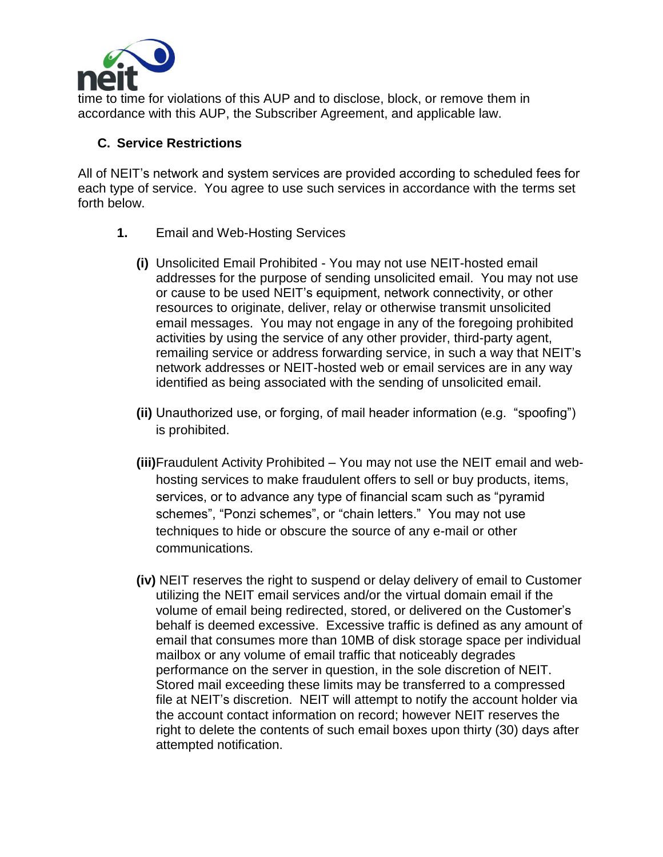

time to time for violations of this AUP and to disclose, block, or remove them in accordance with this AUP, the Subscriber Agreement, and applicable law.

#### **C. Service Restrictions**

All of NEIT's network and system services are provided according to scheduled fees for each type of service. You agree to use such services in accordance with the terms set forth below.

- **1.** Email and Web-Hosting Services
	- **(i)** Unsolicited Email Prohibited You may not use NEIT-hosted email addresses for the purpose of sending unsolicited email. You may not use or cause to be used NEIT's equipment, network connectivity, or other resources to originate, deliver, relay or otherwise transmit unsolicited email messages. You may not engage in any of the foregoing prohibited activities by using the service of any other provider, third-party agent, remailing service or address forwarding service, in such a way that NEIT's network addresses or NEIT-hosted web or email services are in any way identified as being associated with the sending of unsolicited email.
	- **(ii)** Unauthorized use, or forging, of mail header information (e.g. "spoofing") is prohibited.
	- **(iii)**Fraudulent Activity Prohibited You may not use the NEIT email and webhosting services to make fraudulent offers to sell or buy products, items, services, or to advance any type of financial scam such as "pyramid schemes", "Ponzi schemes", or "chain letters." You may not use techniques to hide or obscure the source of any e-mail or other communications.
	- **(iv)** NEIT reserves the right to suspend or delay delivery of email to Customer utilizing the NEIT email services and/or the virtual domain email if the volume of email being redirected, stored, or delivered on the Customer's behalf is deemed excessive. Excessive traffic is defined as any amount of email that consumes more than 10MB of disk storage space per individual mailbox or any volume of email traffic that noticeably degrades performance on the server in question, in the sole discretion of NEIT. Stored mail exceeding these limits may be transferred to a compressed file at NEIT's discretion. NEIT will attempt to notify the account holder via the account contact information on record; however NEIT reserves the right to delete the contents of such email boxes upon thirty (30) days after attempted notification.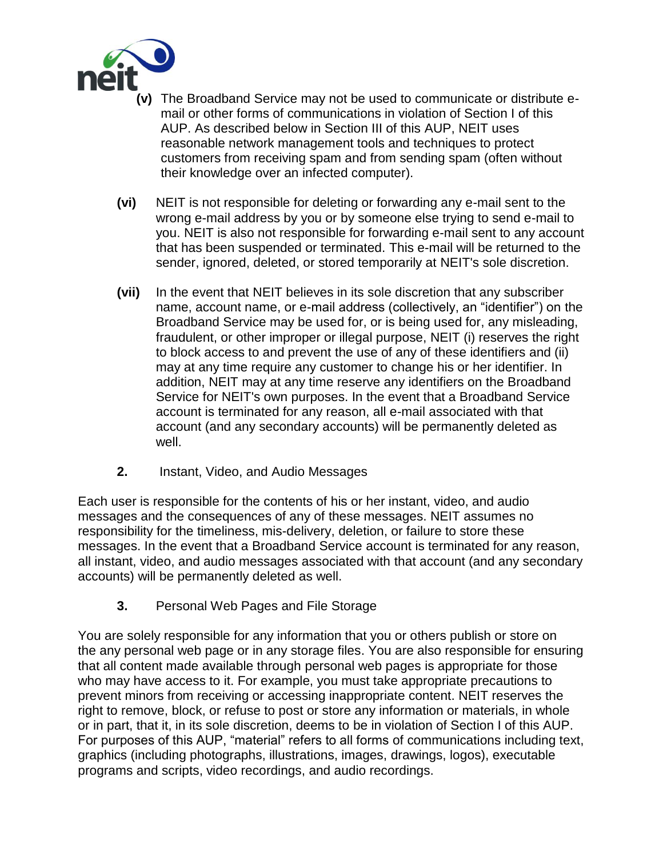

- **(v)** The Broadband Service may not be used to communicate or distribute email or other forms of communications in violation of Section I of this AUP. As described below in Section III of this AUP, NEIT uses reasonable network management tools and techniques to protect customers from receiving spam and from sending spam (often without their knowledge over an infected computer).
- **(vi)** NEIT is not responsible for deleting or forwarding any e-mail sent to the wrong e-mail address by you or by someone else trying to send e-mail to you. NEIT is also not responsible for forwarding e-mail sent to any account that has been suspended or terminated. This e-mail will be returned to the sender, ignored, deleted, or stored temporarily at NEIT's sole discretion.
- **(vii)** In the event that NEIT believes in its sole discretion that any subscriber name, account name, or e-mail address (collectively, an "identifier") on the Broadband Service may be used for, or is being used for, any misleading, fraudulent, or other improper or illegal purpose, NEIT (i) reserves the right to block access to and prevent the use of any of these identifiers and (ii) may at any time require any customer to change his or her identifier. In addition, NEIT may at any time reserve any identifiers on the Broadband Service for NEIT's own purposes. In the event that a Broadband Service account is terminated for any reason, all e-mail associated with that account (and any secondary accounts) will be permanently deleted as well.
- **2.** Instant, Video, and Audio Messages

Each user is responsible for the contents of his or her instant, video, and audio messages and the consequences of any of these messages. NEIT assumes no responsibility for the timeliness, mis-delivery, deletion, or failure to store these messages. In the event that a Broadband Service account is terminated for any reason, all instant, video, and audio messages associated with that account (and any secondary accounts) will be permanently deleted as well.

**3.** Personal Web Pages and File Storage

You are solely responsible for any information that you or others publish or store on the any personal web page or in any storage files. You are also responsible for ensuring that all content made available through personal web pages is appropriate for those who may have access to it. For example, you must take appropriate precautions to prevent minors from receiving or accessing inappropriate content. NEIT reserves the right to remove, block, or refuse to post or store any information or materials, in whole or in part, that it, in its sole discretion, deems to be in violation of Section I of this AUP. For purposes of this AUP, "material" refers to all forms of communications including text, graphics (including photographs, illustrations, images, drawings, logos), executable programs and scripts, video recordings, and audio recordings.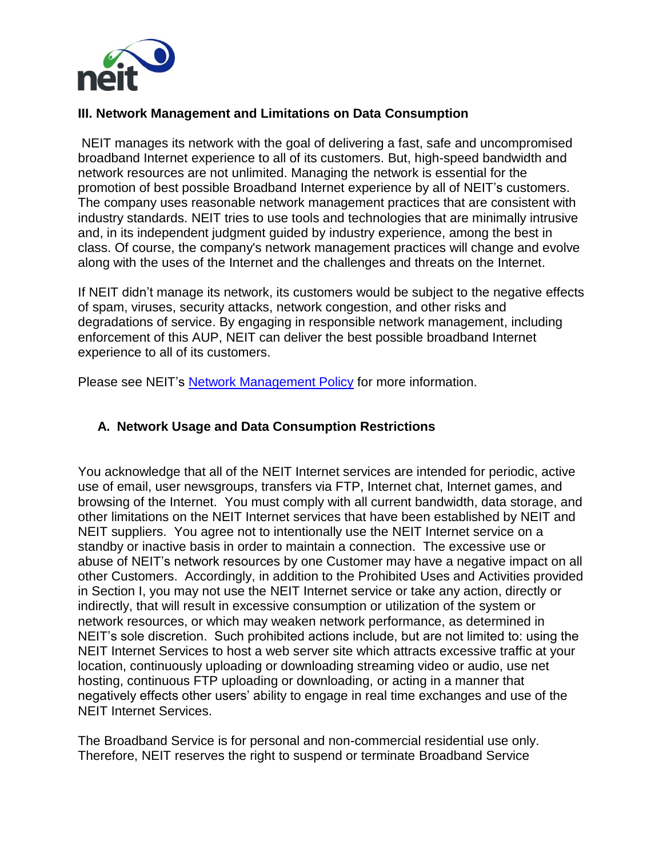

#### **III. Network Management and Limitations on Data Consumption**

NEIT manages its network with the goal of delivering a fast, safe and uncompromised broadband Internet experience to all of its customers. But, high-speed bandwidth and network resources are not unlimited. Managing the network is essential for the promotion of best possible Broadband Internet experience by all of NEIT's customers. The company uses reasonable network management practices that are consistent with industry standards. NEIT tries to use tools and technologies that are minimally intrusive and, in its independent judgment guided by industry experience, among the best in class. Of course, the company's network management practices will change and evolve along with the uses of the Internet and the challenges and threats on the Internet.

If NEIT didn't manage its network, its customers would be subject to the negative effects of spam, viruses, security attacks, network congestion, and other risks and degradations of service. By engaging in responsible network management, including enforcement of this AUP, NEIT can deliver the best possible broadband Internet experience to all of its customers.

Please see NEIT's [Network Management Policy](http://www.neitel.net/network/netmanage.pdf) for more information.

#### **A. Network Usage and Data Consumption Restrictions**

You acknowledge that all of the NEIT Internet services are intended for periodic, active use of email, user newsgroups, transfers via FTP, Internet chat, Internet games, and browsing of the Internet. You must comply with all current bandwidth, data storage, and other limitations on the NEIT Internet services that have been established by NEIT and NEIT suppliers. You agree not to intentionally use the NEIT Internet service on a standby or inactive basis in order to maintain a connection. The excessive use or abuse of NEIT's network resources by one Customer may have a negative impact on all other Customers. Accordingly, in addition to the Prohibited Uses and Activities provided in Section I, you may not use the NEIT Internet service or take any action, directly or indirectly, that will result in excessive consumption or utilization of the system or network resources, or which may weaken network performance, as determined in NEIT's sole discretion. Such prohibited actions include, but are not limited to: using the NEIT Internet Services to host a web server site which attracts excessive traffic at your location, continuously uploading or downloading streaming video or audio, use net hosting, continuous FTP uploading or downloading, or acting in a manner that negatively effects other users' ability to engage in real time exchanges and use of the NEIT Internet Services.

The Broadband Service is for personal and non-commercial residential use only. Therefore, NEIT reserves the right to suspend or terminate Broadband Service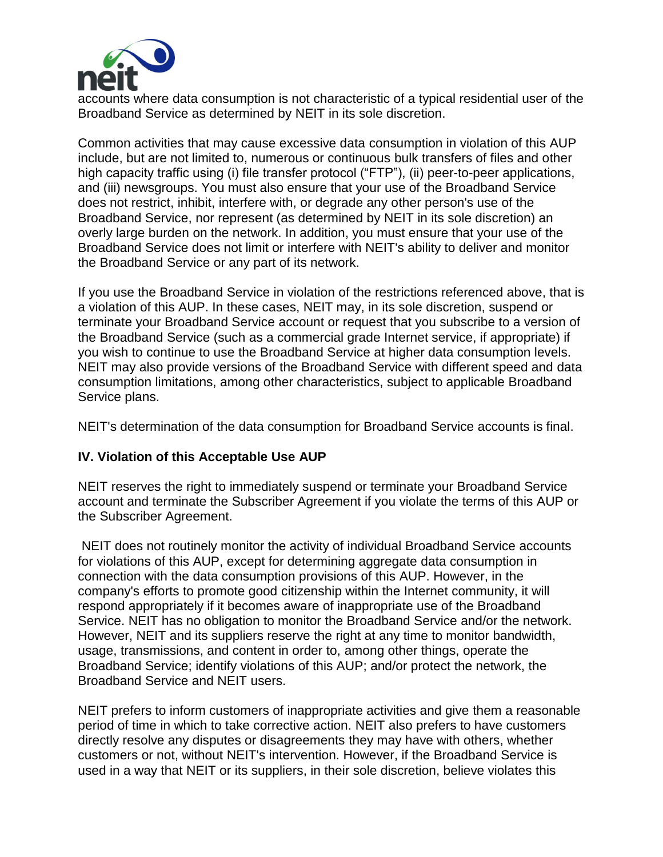

accounts where data consumption is not characteristic of a typical residential user of the Broadband Service as determined by NEIT in its sole discretion.

Common activities that may cause excessive data consumption in violation of this AUP include, but are not limited to, numerous or continuous bulk transfers of files and other high capacity traffic using (i) file transfer protocol ("FTP"), (ii) peer-to-peer applications, and (iii) newsgroups. You must also ensure that your use of the Broadband Service does not restrict, inhibit, interfere with, or degrade any other person's use of the Broadband Service, nor represent (as determined by NEIT in its sole discretion) an overly large burden on the network. In addition, you must ensure that your use of the Broadband Service does not limit or interfere with NEIT's ability to deliver and monitor the Broadband Service or any part of its network.

If you use the Broadband Service in violation of the restrictions referenced above, that is a violation of this AUP. In these cases, NEIT may, in its sole discretion, suspend or terminate your Broadband Service account or request that you subscribe to a version of the Broadband Service (such as a commercial grade Internet service, if appropriate) if you wish to continue to use the Broadband Service at higher data consumption levels. NEIT may also provide versions of the Broadband Service with different speed and data consumption limitations, among other characteristics, subject to applicable Broadband Service plans.

NEIT's determination of the data consumption for Broadband Service accounts is final.

#### **IV. Violation of this Acceptable Use AUP**

NEIT reserves the right to immediately suspend or terminate your Broadband Service account and terminate the Subscriber Agreement if you violate the terms of this AUP or the Subscriber Agreement.

NEIT does not routinely monitor the activity of individual Broadband Service accounts for violations of this AUP, except for determining aggregate data consumption in connection with the data consumption provisions of this AUP. However, in the company's efforts to promote good citizenship within the Internet community, it will respond appropriately if it becomes aware of inappropriate use of the Broadband Service. NEIT has no obligation to monitor the Broadband Service and/or the network. However, NEIT and its suppliers reserve the right at any time to monitor bandwidth, usage, transmissions, and content in order to, among other things, operate the Broadband Service; identify violations of this AUP; and/or protect the network, the Broadband Service and NEIT users.

NEIT prefers to inform customers of inappropriate activities and give them a reasonable period of time in which to take corrective action. NEIT also prefers to have customers directly resolve any disputes or disagreements they may have with others, whether customers or not, without NEIT's intervention. However, if the Broadband Service is used in a way that NEIT or its suppliers, in their sole discretion, believe violates this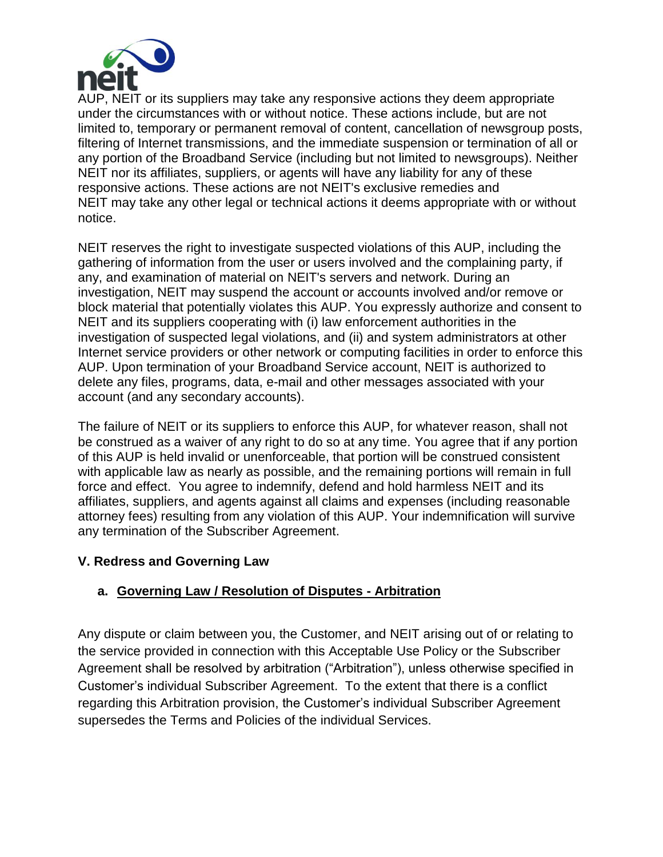

AUP, NEIT or its suppliers may take any responsive actions they deem appropriate under the circumstances with or without notice. These actions include, but are not limited to, temporary or permanent removal of content, cancellation of newsgroup posts, filtering of Internet transmissions, and the immediate suspension or termination of all or any portion of the Broadband Service (including but not limited to newsgroups). Neither NEIT nor its affiliates, suppliers, or agents will have any liability for any of these responsive actions. These actions are not NEIT's exclusive remedies and NEIT may take any other legal or technical actions it deems appropriate with or without notice.

NEIT reserves the right to investigate suspected violations of this AUP, including the gathering of information from the user or users involved and the complaining party, if any, and examination of material on NEIT's servers and network. During an investigation, NEIT may suspend the account or accounts involved and/or remove or block material that potentially violates this AUP. You expressly authorize and consent to NEIT and its suppliers cooperating with (i) law enforcement authorities in the investigation of suspected legal violations, and (ii) and system administrators at other Internet service providers or other network or computing facilities in order to enforce this AUP. Upon termination of your Broadband Service account, NEIT is authorized to delete any files, programs, data, e-mail and other messages associated with your account (and any secondary accounts).

The failure of NEIT or its suppliers to enforce this AUP, for whatever reason, shall not be construed as a waiver of any right to do so at any time. You agree that if any portion of this AUP is held invalid or unenforceable, that portion will be construed consistent with applicable law as nearly as possible, and the remaining portions will remain in full force and effect. You agree to indemnify, defend and hold harmless NEIT and its affiliates, suppliers, and agents against all claims and expenses (including reasonable attorney fees) resulting from any violation of this AUP. Your indemnification will survive any termination of the Subscriber Agreement.

### **V. Redress and Governing Law**

### **a. Governing Law / Resolution of Disputes - Arbitration**

Any dispute or claim between you, the Customer, and NEIT arising out of or relating to the service provided in connection with this Acceptable Use Policy or the Subscriber Agreement shall be resolved by arbitration ("Arbitration"), unless otherwise specified in Customer's individual Subscriber Agreement. To the extent that there is a conflict regarding this Arbitration provision, the Customer's individual Subscriber Agreement supersedes the Terms and Policies of the individual Services.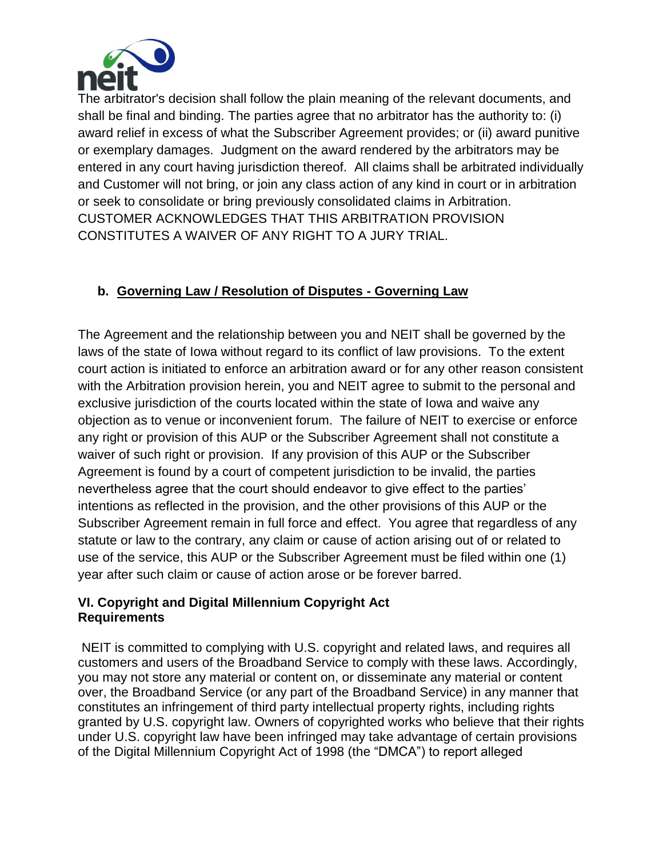

The arbitrator's decision shall follow the plain meaning of the relevant documents, and shall be final and binding. The parties agree that no arbitrator has the authority to: (i) award relief in excess of what the Subscriber Agreement provides; or (ii) award punitive or exemplary damages. Judgment on the award rendered by the arbitrators may be entered in any court having jurisdiction thereof. All claims shall be arbitrated individually and Customer will not bring, or join any class action of any kind in court or in arbitration or seek to consolidate or bring previously consolidated claims in Arbitration. CUSTOMER ACKNOWLEDGES THAT THIS ARBITRATION PROVISION CONSTITUTES A WAIVER OF ANY RIGHT TO A JURY TRIAL.

## **b. Governing Law / Resolution of Disputes - Governing Law**

The Agreement and the relationship between you and NEIT shall be governed by the laws of the state of Iowa without regard to its conflict of law provisions. To the extent court action is initiated to enforce an arbitration award or for any other reason consistent with the Arbitration provision herein, you and NEIT agree to submit to the personal and exclusive jurisdiction of the courts located within the state of Iowa and waive any objection as to venue or inconvenient forum. The failure of NEIT to exercise or enforce any right or provision of this AUP or the Subscriber Agreement shall not constitute a waiver of such right or provision. If any provision of this AUP or the Subscriber Agreement is found by a court of competent jurisdiction to be invalid, the parties nevertheless agree that the court should endeavor to give effect to the parties' intentions as reflected in the provision, and the other provisions of this AUP or the Subscriber Agreement remain in full force and effect. You agree that regardless of any statute or law to the contrary, any claim or cause of action arising out of or related to use of the service, this AUP or the Subscriber Agreement must be filed within one (1) year after such claim or cause of action arose or be forever barred.

#### **VI. Copyright and Digital Millennium Copyright Act Requirements**

NEIT is committed to complying with U.S. copyright and related laws, and requires all customers and users of the Broadband Service to comply with these laws. Accordingly, you may not store any material or content on, or disseminate any material or content over, the Broadband Service (or any part of the Broadband Service) in any manner that constitutes an infringement of third party intellectual property rights, including rights granted by U.S. copyright law. Owners of copyrighted works who believe that their rights under U.S. copyright law have been infringed may take advantage of certain provisions of the Digital Millennium Copyright Act of 1998 (the "DMCA") to report alleged